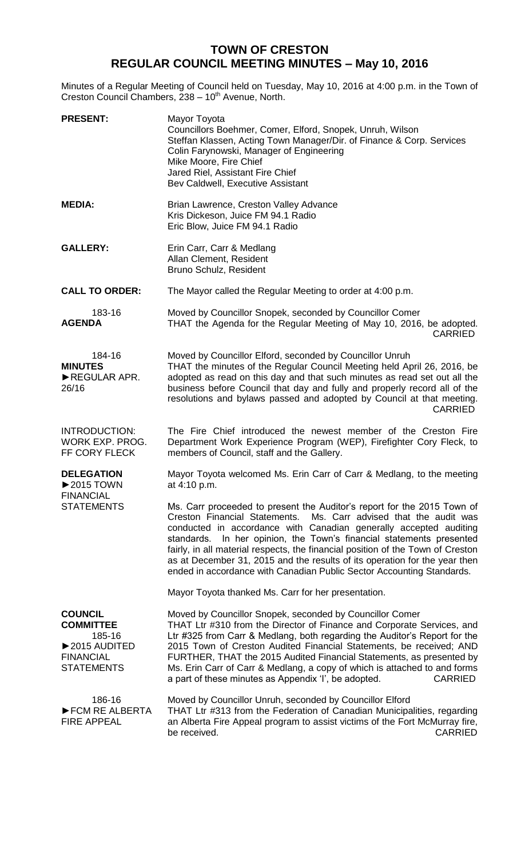## **TOWN OF CRESTON REGULAR COUNCIL MEETING MINUTES – May 10, 2016**

Minutes of a Regular Meeting of Council held on Tuesday, May 10, 2016 at 4:00 p.m. in the Town of Creston Council Chambers, 238 - 10<sup>th</sup> Avenue, North.

| <b>PRESENT:</b>                                                                                                             | Mayor Toyota<br>Councillors Boehmer, Comer, Elford, Snopek, Unruh, Wilson<br>Steffan Klassen, Acting Town Manager/Dir. of Finance & Corp. Services<br>Colin Farynowski, Manager of Engineering<br>Mike Moore, Fire Chief<br>Jared Riel, Assistant Fire Chief<br>Bev Caldwell, Executive Assistant                                                                                                                                                                                                                                      |
|-----------------------------------------------------------------------------------------------------------------------------|----------------------------------------------------------------------------------------------------------------------------------------------------------------------------------------------------------------------------------------------------------------------------------------------------------------------------------------------------------------------------------------------------------------------------------------------------------------------------------------------------------------------------------------|
| <b>MEDIA:</b>                                                                                                               | Brian Lawrence, Creston Valley Advance<br>Kris Dickeson, Juice FM 94.1 Radio<br>Eric Blow, Juice FM 94.1 Radio                                                                                                                                                                                                                                                                                                                                                                                                                         |
| <b>GALLERY:</b>                                                                                                             | Erin Carr, Carr & Medlang<br>Allan Clement, Resident<br>Bruno Schulz, Resident                                                                                                                                                                                                                                                                                                                                                                                                                                                         |
| <b>CALL TO ORDER:</b>                                                                                                       | The Mayor called the Regular Meeting to order at 4:00 p.m.                                                                                                                                                                                                                                                                                                                                                                                                                                                                             |
| 183-16<br><b>AGENDA</b>                                                                                                     | Moved by Councillor Snopek, seconded by Councillor Comer<br>THAT the Agenda for the Regular Meeting of May 10, 2016, be adopted.<br><b>CARRIED</b>                                                                                                                                                                                                                                                                                                                                                                                     |
| 184-16<br><b>MINUTES</b><br>REGULAR APR.<br>26/16                                                                           | Moved by Councillor Elford, seconded by Councillor Unruh<br>THAT the minutes of the Regular Council Meeting held April 26, 2016, be<br>adopted as read on this day and that such minutes as read set out all the<br>business before Council that day and fully and properly record all of the<br>resolutions and bylaws passed and adopted by Council at that meeting.<br><b>CARRIED</b>                                                                                                                                               |
| <b>INTRODUCTION:</b><br>WORK EXP. PROG.<br>FF CORY FLECK                                                                    | The Fire Chief introduced the newest member of the Creston Fire<br>Department Work Experience Program (WEP), Firefighter Cory Fleck, to<br>members of Council, staff and the Gallery.                                                                                                                                                                                                                                                                                                                                                  |
| <b>DELEGATION</b><br>$\triangleright$ 2015 TOWN<br><b>FINANCIAL</b>                                                         | Mayor Toyota welcomed Ms. Erin Carr of Carr & Medlang, to the meeting<br>at 4:10 p.m.                                                                                                                                                                                                                                                                                                                                                                                                                                                  |
| <b>STATEMENTS</b>                                                                                                           | Ms. Carr proceeded to present the Auditor's report for the 2015 Town of<br>Ms. Carr advised that the audit was<br>Creston Financial Statements.<br>conducted in accordance with Canadian generally accepted auditing<br>standards. In her opinion, the Town's financial statements presented<br>fairly, in all material respects, the financial position of the Town of Creston<br>as at December 31, 2015 and the results of its operation for the year then<br>ended in accordance with Canadian Public Sector Accounting Standards. |
|                                                                                                                             | Mayor Toyota thanked Ms. Carr for her presentation.                                                                                                                                                                                                                                                                                                                                                                                                                                                                                    |
| <b>COUNCIL</b><br><b>COMMITTEE</b><br>185-16<br>$\blacktriangleright$ 2015 AUDITED<br><b>FINANCIAL</b><br><b>STATEMENTS</b> | Moved by Councillor Snopek, seconded by Councillor Comer<br>THAT Ltr #310 from the Director of Finance and Corporate Services, and<br>Ltr #325 from Carr & Medlang, both regarding the Auditor's Report for the<br>2015 Town of Creston Audited Financial Statements, be received; AND<br>FURTHER, THAT the 2015 Audited Financial Statements, as presented by<br>Ms. Erin Carr of Carr & Medlang, a copy of which is attached to and forms<br>a part of these minutes as Appendix 'I', be adopted.<br><b>CARRIED</b>                  |
| 186-16<br>FCM RE ALBERTA<br><b>FIRE APPEAL</b>                                                                              | Moved by Councillor Unruh, seconded by Councillor Elford<br>THAT Ltr #313 from the Federation of Canadian Municipalities, regarding<br>an Alberta Fire Appeal program to assist victims of the Fort McMurray fire,<br>be received.<br><b>CARRIED</b>                                                                                                                                                                                                                                                                                   |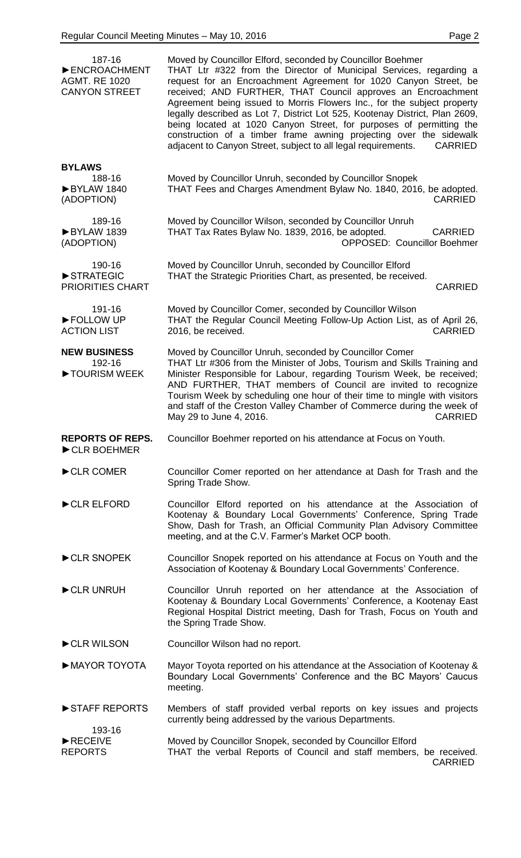| 187-16<br>ENCROACHMENT<br><b>AGMT, RE 1020</b><br><b>CANYON STREET</b> | Moved by Councillor Elford, seconded by Councillor Boehmer<br>THAT Ltr #322 from the Director of Municipal Services, regarding a<br>request for an Encroachment Agreement for 1020 Canyon Street, be<br>received; AND FURTHER, THAT Council approves an Encroachment<br>Agreement being issued to Morris Flowers Inc., for the subject property<br>legally described as Lot 7, District Lot 525, Kootenay District, Plan 2609,<br>being located at 1020 Canyon Street, for purposes of permitting the<br>construction of a timber frame awning projecting over the sidewalk<br>adjacent to Canyon Street, subject to all legal requirements.<br><b>CARRIED</b> |
|------------------------------------------------------------------------|----------------------------------------------------------------------------------------------------------------------------------------------------------------------------------------------------------------------------------------------------------------------------------------------------------------------------------------------------------------------------------------------------------------------------------------------------------------------------------------------------------------------------------------------------------------------------------------------------------------------------------------------------------------|
| <b>BYLAWS</b><br>188-16<br>BYLAW 1840<br>(ADOPTION)                    | Moved by Councillor Unruh, seconded by Councillor Snopek<br>THAT Fees and Charges Amendment Bylaw No. 1840, 2016, be adopted.<br><b>CARRIED</b>                                                                                                                                                                                                                                                                                                                                                                                                                                                                                                                |
| 189-16<br>BYLAW 1839<br>(ADOPTION)                                     | Moved by Councillor Wilson, seconded by Councillor Unruh<br>THAT Tax Rates Bylaw No. 1839, 2016, be adopted.<br><b>CARRIED</b><br><b>OPPOSED: Councillor Boehmer</b>                                                                                                                                                                                                                                                                                                                                                                                                                                                                                           |
| 190-16<br>STRATEGIC<br><b>PRIORITIES CHART</b>                         | Moved by Councillor Unruh, seconded by Councillor Elford<br>THAT the Strategic Priorities Chart, as presented, be received.<br><b>CARRIED</b>                                                                                                                                                                                                                                                                                                                                                                                                                                                                                                                  |
| 191-16<br>FOLLOW UP<br><b>ACTION LIST</b>                              | Moved by Councillor Comer, seconded by Councillor Wilson<br>THAT the Regular Council Meeting Follow-Up Action List, as of April 26,<br><b>CARRIED</b><br>2016, be received.                                                                                                                                                                                                                                                                                                                                                                                                                                                                                    |
| <b>NEW BUSINESS</b><br>192-16<br>TOURISM WEEK                          | Moved by Councillor Unruh, seconded by Councillor Comer<br>THAT Ltr #306 from the Minister of Jobs, Tourism and Skills Training and<br>Minister Responsible for Labour, regarding Tourism Week, be received;<br>AND FURTHER, THAT members of Council are invited to recognize<br>Tourism Week by scheduling one hour of their time to mingle with visitors<br>and staff of the Creston Valley Chamber of Commerce during the week of<br>May 29 to June 4, 2016.<br><b>CARRIED</b>                                                                                                                                                                              |
| <b>REPORTS OF REPS.</b><br>CLR BOEHMER                                 | Councillor Boehmer reported on his attendance at Focus on Youth.                                                                                                                                                                                                                                                                                                                                                                                                                                                                                                                                                                                               |
| CLR COMER                                                              | Councillor Comer reported on her attendance at Dash for Trash and the<br>Spring Trade Show.                                                                                                                                                                                                                                                                                                                                                                                                                                                                                                                                                                    |
| CLR ELFORD                                                             | Councillor Elford reported on his attendance at the Association of<br>Kootenay & Boundary Local Governments' Conference, Spring Trade<br>Show, Dash for Trash, an Official Community Plan Advisory Committee<br>meeting, and at the C.V. Farmer's Market OCP booth.                                                                                                                                                                                                                                                                                                                                                                                            |
| CLR SNOPEK                                                             | Councillor Snopek reported on his attendance at Focus on Youth and the<br>Association of Kootenay & Boundary Local Governments' Conference.                                                                                                                                                                                                                                                                                                                                                                                                                                                                                                                    |
| CLR UNRUH                                                              | Councillor Unruh reported on her attendance at the Association of<br>Kootenay & Boundary Local Governments' Conference, a Kootenay East<br>Regional Hospital District meeting, Dash for Trash, Focus on Youth and<br>the Spring Trade Show.                                                                                                                                                                                                                                                                                                                                                                                                                    |
| CLR WILSON                                                             | Councillor Wilson had no report.                                                                                                                                                                                                                                                                                                                                                                                                                                                                                                                                                                                                                               |
| MAYOR TOYOTA                                                           | Mayor Toyota reported on his attendance at the Association of Kootenay &<br>Boundary Local Governments' Conference and the BC Mayors' Caucus<br>meeting.                                                                                                                                                                                                                                                                                                                                                                                                                                                                                                       |
| STAFF REPORTS                                                          | Members of staff provided verbal reports on key issues and projects<br>currently being addressed by the various Departments.                                                                                                                                                                                                                                                                                                                                                                                                                                                                                                                                   |
| 193-16<br>RECEIVE<br><b>REPORTS</b>                                    | Moved by Councillor Snopek, seconded by Councillor Elford<br>THAT the verbal Reports of Council and staff members, be received.<br><b>CARRIED</b>                                                                                                                                                                                                                                                                                                                                                                                                                                                                                                              |